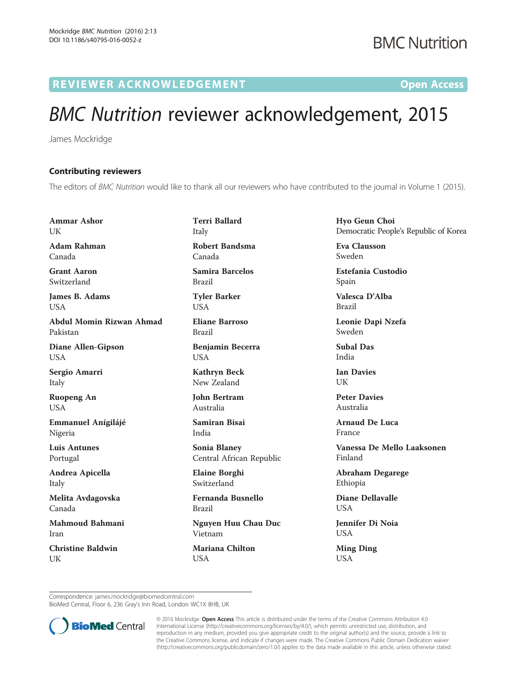R EVI EW E R ACKNOW L EDG EM EN T Open Access

## BMC Nutrition reviewer acknowledgement, 2015

James Mockridge

## Contributing reviewers

The editors of BMC Nutrition would like to thank all our reviewers who have contributed to the journal in Volume 1 (2015).

Ammar Ashor **I** IK Adam Rahman

Canada

Grant Aaron Switzerland

James B. Adams USA

Abdul Momin Rizwan Ahmad Pakistan

Diane Allen-Gipson USA

Sergio Amarri Italy

Ruopeng An USA

Emmanuel Anígilájé Nigeria

Luis Antunes Portugal

Andrea Apicella Italy

Melita Avdagovska Canada

Mahmoud Bahmani Iran

Christine Baldwin UK

Terri Ballard Italy Robert Bandsma

Canada Samira Barcelos Brazil

Tyler Barker USA

Eliane Barroso Brazil

Benjamin Becerra USA

Kathryn Beck New Zealand

John Bertram Australia

Samiran Bisai India

Sonia Blaney Central African Republic

Elaine Borghi Switzerland

Fernanda Busnello Brazil

Nguyen Huu Chau Duc Vietnam

Mariana Chilton USA

Hyo Geun Choi Democratic People's Republic of Korea

Eva Clausson Sweden

Estefania Custodio Spain

Valesca D'Alba Brazil

Leonie Dapi Nzefa Sweden

Subal Das India

Ian Davies UK

Peter Davies Australia

Arnaud De Luca France

Vanessa De Mello Laaksonen Finland

Abraham Degarege Ethiopia

Diane Dellavalle USA

Jennifer Di Noia USA

Ming Ding USA

Correspondence: [james.mockridge@biomedcentral.com](mailto:james.mockridge@biomedcentral.com)

BioMed Central, Floor 6, 236 Gray's Inn Road, London WC1X 8HB, UK



© 2016 Mockridge. Open Access This article is distributed under the terms of the Creative Commons Attribution 4.0 International License [\(http://creativecommons.org/licenses/by/4.0/](http://creativecommons.org/licenses/by/4.0/)), which permits unrestricted use, distribution, and reproduction in any medium, provided you give appropriate credit to the original author(s) and the source, provide a link to the Creative Commons license, and indicate if changes were made. The Creative Commons Public Domain Dedication waiver [\(http://creativecommons.org/publicdomain/zero/1.0/](http://creativecommons.org/publicdomain/zero/1.0/)) applies to the data made available in this article, unless otherwise stated.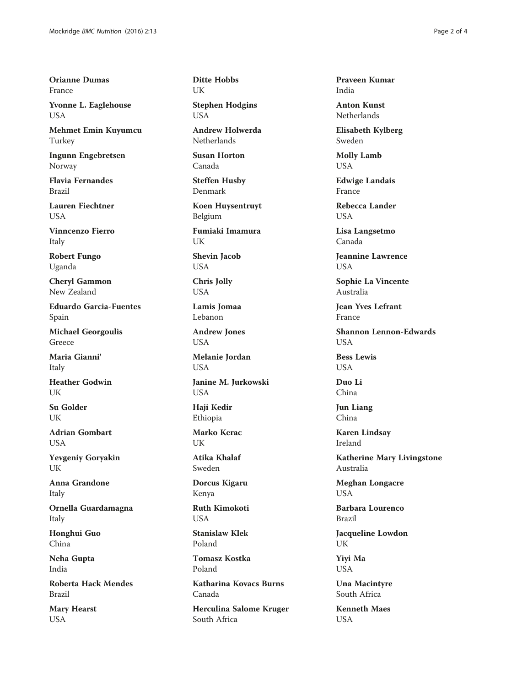Orianne Dumas France

Yvonne L. Eaglehouse USA

Mehmet Emin Kuyumcu Turkey

Ingunn Engebretsen Norway

Flavia Fernandes Brazil

Lauren Fiechtner **USA** 

Vinncenzo Fierro Italy

Robert Fungo Uganda

Cheryl Gammon New Zealand

Eduardo Garcia-Fuentes Spain

Michael Georgoulis Greece

Maria Gianni' Italy

Heather Godwin UK

Su Golder UK

Adrian Gombart **I** ISA

Yevgeniy Goryakin UK

Anna Grandone Italy

Ornella Guardamagna Italy

Honghui Guo China

Neha Gupta India

Roberta Hack Mendes Brazil

Mary Hearst **USA** 

Ditte Hobbs UK

Stephen Hodgins USA

Andrew Holwerda Netherlands

Susan Horton Canada

Steffen Husby Denmark

Koen Huysentruyt Belgium

Fumiaki Imamura UK

Shevin Jacob USA

Chris Jolly USA

Lamis Jomaa Lebanon

Andrew Jones USA

Melanie Jordan USA

Janine M. Jurkowski USA

Haji Kedir Ethiopia

Marko Kerac UK

Atika Khalaf Sweden

Dorcus Kigaru Kenya

Ruth Kimokoti USA

Stanislaw Klek Poland

Tomasz Kostka Poland

Katharina Kovacs Burns Canada

Herculina Salome Kruger South Africa

Praveen Kumar India

Anton Kunst Netherlands

Elisabeth Kylberg Sweden

Molly Lamb USA

Edwige Landais France

Rebecca Lander **USA** 

Lisa Langsetmo Canada

Jeannine Lawrence USA

Sophie La Vincente Australia

Jean Yves Lefrant France

Shannon Lennon-Edwards **USA** 

Bess Lewis **USA** 

Duo Li China

Jun Liang China

Karen Lindsay Ireland

Katherine Mary Livingstone Australia

Meghan Longacre USA

Barbara Lourenco Brazil

Jacqueline Lowdon UK

Yiyi Ma USA

Una Macintyre South Africa

Kenneth Maes **USA**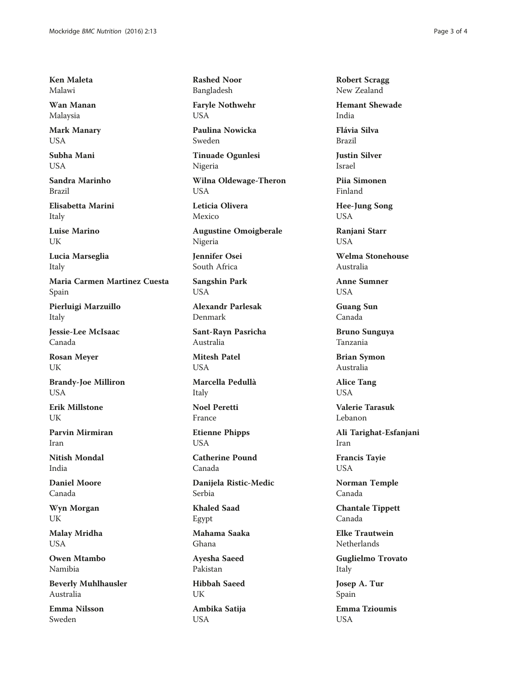Ken Maleta Malawi

Wan Manan Malaysia

Mark Manary USA

Subha Mani **USA** 

Sandra Marinho Brazil

Elisabetta Marini Italy

Luise Marino UK

Lucia Marseglia Italy

Maria Carmen Martinez Cuesta Spain

Pierluigi Marzuillo Italy

Jessie-Lee McIsaac Canada

Rosan Meyer UK

Brandy-Joe Milliron **USA** 

Erik Millstone UK

Parvin Mirmiran Iran

Nitish Mondal India

Daniel Moore Canada

Wyn Morgan UK

Malay Mridha **USA** 

Owen Mtambo Namibia

Beverly Muhlhausler Australia

Emma Nilsson Sweden

Rashed Noor Bangladesh

Faryle Nothwehr **USA** 

Paulina Nowicka Sweden

Tinuade Ogunlesi Nigeria

Wilna Oldewage-Theron USA

Leticia Olivera Mexico

Augustine Omoigberale Nigeria

Jennifer Osei South Africa

Sangshin Park USA

Alexandr Parlesak Denmark

Sant-Rayn Pasricha Australia

Mitesh Patel **USA** 

Marcella Pedullà Italy

Noel Peretti France

Etienne Phipps USA

Catherine Pound Canada

Danijela Ristic-Medic Serbia

Khaled Saad Egypt

Mahama Saaka Ghana

Ayesha Saeed Pakistan

Hibbah Saeed UK Ambika Satija USA

Robert Scragg New Zealand

Hemant Shewade India

Flávia Silva Brazil

Justin Silver Israel

Piia Simonen Finland

Hee-Jung Song USA

Ranjani Starr **USA** 

Welma Stonehouse Australia

Anne Sumner **USA** 

Guang Sun Canada

Bruno Sunguya Tanzania

Brian Symon Australia

Alice Tang **USA** 

Valerie Tarasuk Lebanon

Ali Tarighat-Esfanjani Iran

Francis Tayie USA

Norman Temple Canada

Chantale Tippett Canada

Elke Trautwein **Netherlands** 

Guglielmo Trovato Italy

Josep A. Tur Spain

Emma Tzioumis **USA**